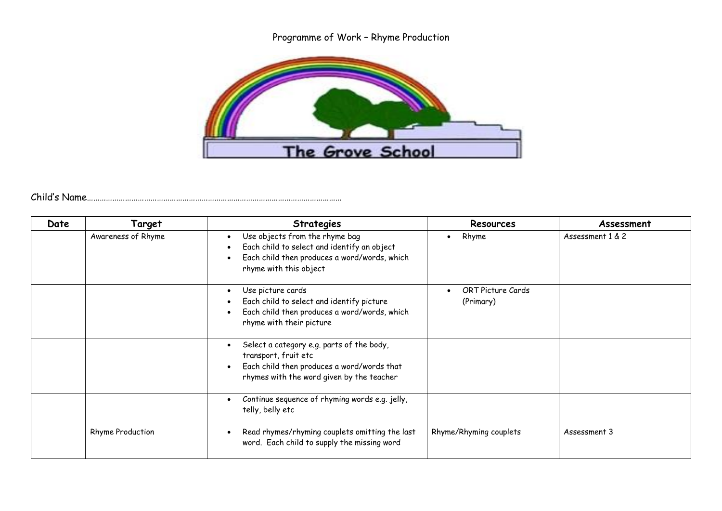## Programme of Work – Rhyme Production



## Child's Name…………………………………………………………………………………………………………

| Date | Target                  | <b>Strategies</b>                                                                                                                                            | <b>Resources</b>               | Assessment       |
|------|-------------------------|--------------------------------------------------------------------------------------------------------------------------------------------------------------|--------------------------------|------------------|
|      | Awareness of Rhyme      | Use objects from the rhyme bag<br>Each child to select and identify an object<br>Each child then produces a word/words, which<br>rhyme with this object      | Rhyme<br>$\bullet$             | Assessment 1 & 2 |
|      |                         | Use picture cards<br>$\bullet$<br>Each child to select and identify picture<br>Each child then produces a word/words, which<br>rhyme with their picture      | ORT Picture Cards<br>(Primary) |                  |
|      |                         | Select a category e.g. parts of the body,<br>transport, fruit etc<br>Each child then produces a word/words that<br>rhymes with the word given by the teacher |                                |                  |
|      |                         | Continue sequence of rhyming words e.g. jelly,<br>telly, belly etc                                                                                           |                                |                  |
|      | <b>Rhyme Production</b> | Read rhymes/rhyming couplets omitting the last<br>word. Each child to supply the missing word                                                                | Rhyme/Rhyming couplets         | Assessment 3     |